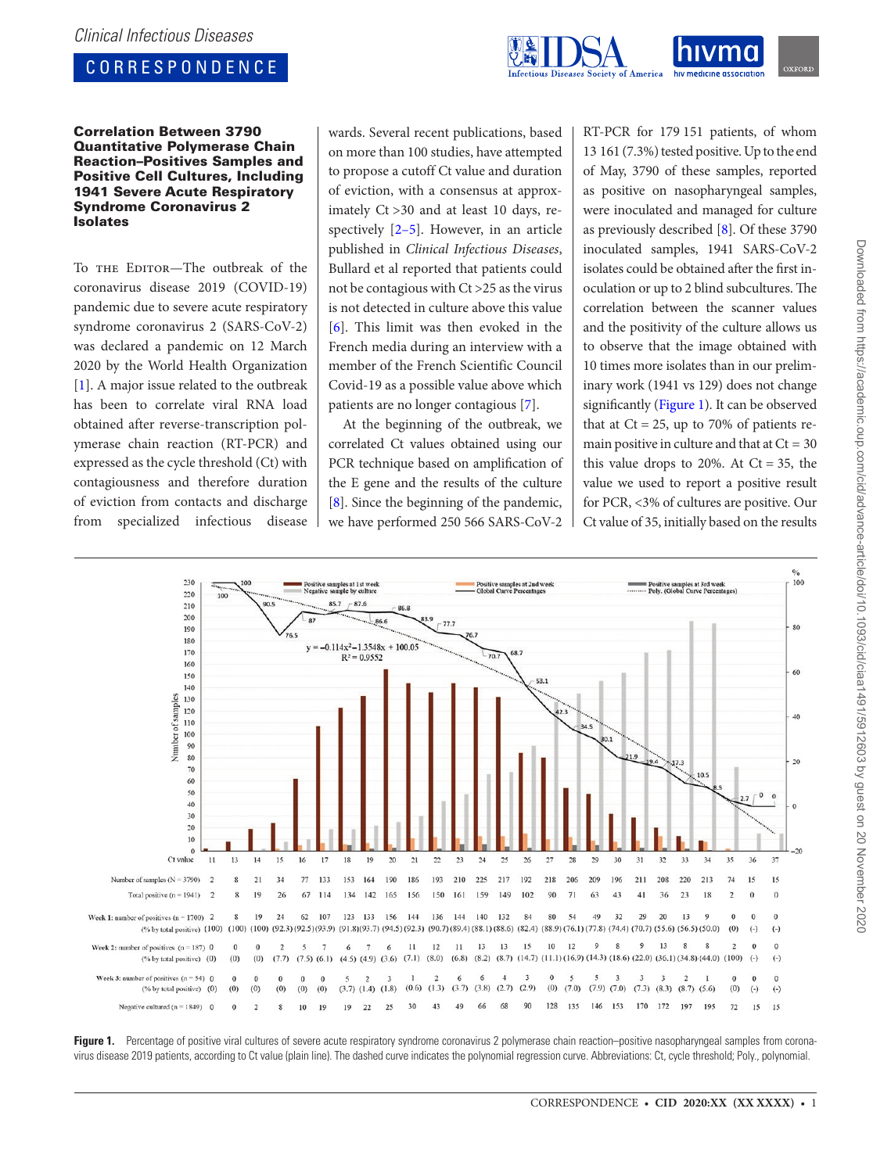# CORRESPONDENCE



## Correlation Between 3790 Quantitative Polymerase Chain Reaction–Positives Samples and Positive Cell Cultures, Including 1941 Severe Acute Respiratory Syndrome Coronavirus 2 Isolates

To THE EDITOR-The outbreak of the coronavirus disease 2019 (COVID-19) pandemic due to severe acute respiratory syndrome coronavirus 2 (SARS-CoV-2) was declared a pandemic on 12 March 2020 by the World Health Organization [\[1\]](#page-1-0). A major issue related to the outbreak has been to correlate viral RNA load obtained after reverse-transcription polymerase chain reaction (RT-PCR) and expressed as the cycle threshold (Ct) with contagiousness and therefore duration of eviction from contacts and discharge from specialized infectious disease wards. Several recent publications, based on more than 100 studies, have attempted to propose a cutoff Ct value and duration of eviction, with a consensus at approximately Ct >30 and at least 10 days, respectively [\[2–](#page-1-1)[5](#page-1-2)]. However, in an article published in *Clinical Infectious Diseases*, Bullard et al reported that patients could not be contagious with Ct >25 as the virus is not detected in culture above this value [\[6\]](#page-1-3). This limit was then evoked in the French media during an interview with a member of the French Scientific Council Covid-19 as a possible value above which patients are no longer contagious [[7](#page-1-4)].

At the beginning of the outbreak, we correlated Ct values obtained using our PCR technique based on amplification of the E gene and the results of the culture [\[8\]](#page-1-5). Since the beginning of the pandemic, we have performed 250 566 SARS-CoV-2

RT-PCR for 179 151 patients, of whom 13 161 (7.3%) tested positive. Up to the end of May, 3790 of these samples, reported as positive on nasopharyngeal samples, were inoculated and managed for culture as previously described [\[8\]](#page-1-5). Of these 3790 inoculated samples, 1941 SARS-CoV-2 isolates could be obtained after the first inoculation or up to 2 blind subcultures. The correlation between the scanner values and the positivity of the culture allows us to observe that the image obtained with 10 times more isolates than in our preliminary work (1941 vs 129) does not change significantly [\(Figure 1\)](#page-0-0). It can be observed that at  $Ct = 25$ , up to 70% of patients remain positive in culture and that at  $Ct = 30$ this value drops to 20%. At  $Ct = 35$ , the value we used to report a positive result for PCR, <3% of cultures are positive. Our Ct value of 35, initially based on the results



<span id="page-0-0"></span>Figure 1. Percentage of positive viral cultures of severe acute respiratory syndrome coronavirus 2 polymerase chain reaction–positive nasopharyngeal samples from coronavirus disease 2019 patients, according to Ct value (plain line). The dashed curve indicates the polynomial regression curve. Abbreviations: Ct, cycle threshold; Poly., polynomial.